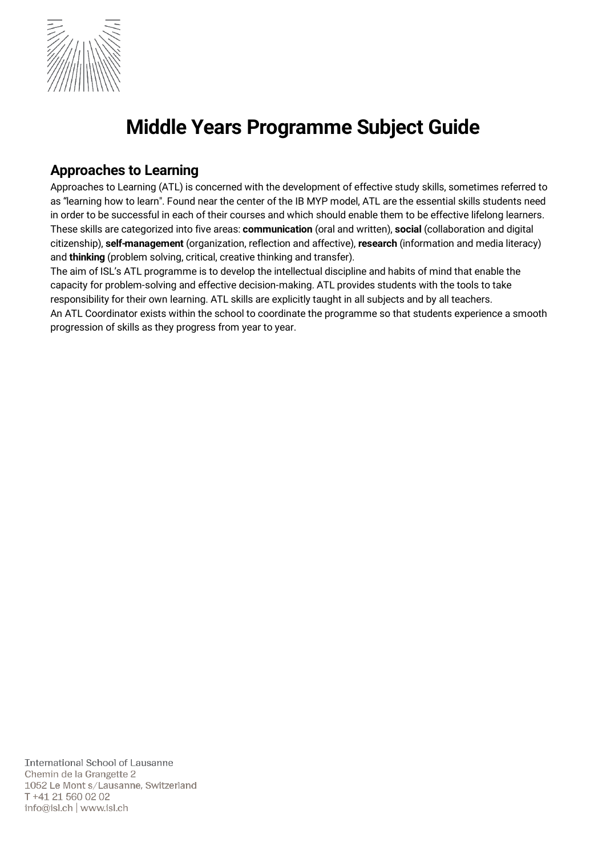

# Middle Years Programme Subject Guide

# Approaches to Learning

Approaches to Learning (ATL) is concerned with the development of effective study skills, sometimes referred to as "learning how to learn". Found near the center of the IB MYP model, ATL are the essential skills students need in order to be successful in each of their courses and which should enable them to be effective lifelong learners. These skills are categorized into five areas: communication (oral and written), social (collaboration and digital citizenship), self-management (organization, reflection and affective), research (information and media literacy) and thinking (problem solving, critical, creative thinking and transfer).

The aim of ISL's ATL programme is to develop the intellectual discipline and habits of mind that enable the capacity for problem-solving and effective decision-making. ATL provides students with the tools to take responsibility for their own learning. ATL skills are explicitly taught in all subjects and by all teachers. An ATL Coordinator exists within the school to coordinate the programme so that students experience a smooth progression of skills as they progress from year to year.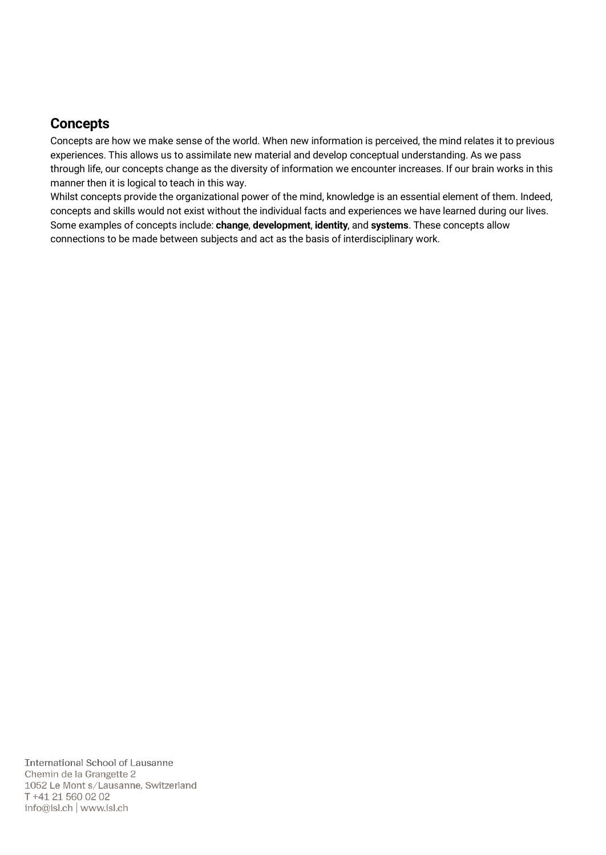# **Concepts**

Concepts are how we make sense of the world. When new information is perceived, the mind relates it to previous experiences. This allows us to assimilate new material and develop conceptual understanding. As we pass through life, our concepts change as the diversity of information we encounter increases. If our brain works in this manner then it is logical to teach in this way.

Whilst concepts provide the organizational power of the mind, knowledge is an essential element of them. Indeed, concepts and skills would not exist without the individual facts and experiences we have learned during our lives. Some examples of concepts include: change, development, identity, and systems. These concepts allow connections to be made between subjects and act as the basis of interdisciplinary work.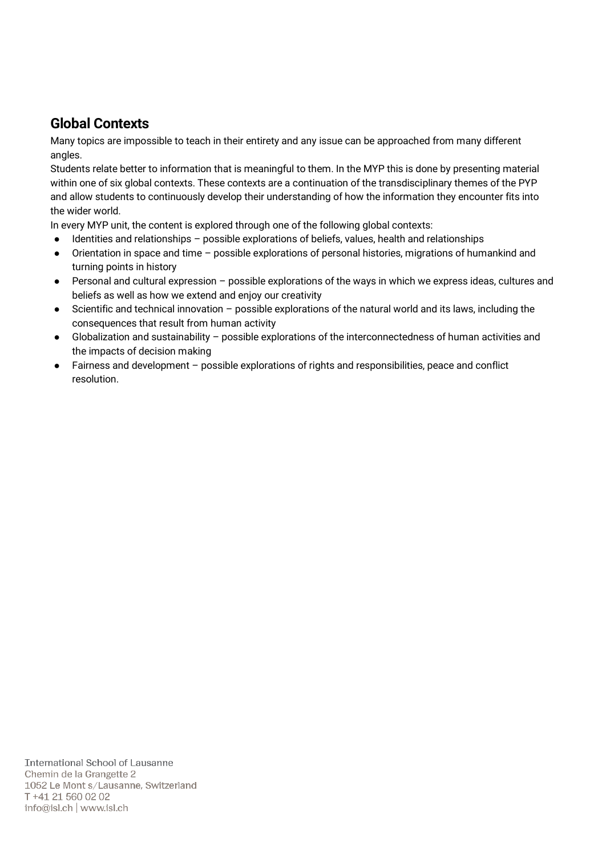# Global Contexts

Many topics are impossible to teach in their entirety and any issue can be approached from many different angles.

Students relate better to information that is meaningful to them. In the MYP this is done by presenting material within one of six global contexts. These contexts are a continuation of the transdisciplinary themes of the PYP and allow students to continuously develop their understanding of how the information they encounter fits into the wider world.

In every MYP unit, the content is explored through one of the following global contexts:

- Identities and relationships possible explorations of beliefs, values, health and relationships
- Orientation in space and time possible explorations of personal histories, migrations of humankind and turning points in history
- Personal and cultural expression possible explorations of the ways in which we express ideas, cultures and beliefs as well as how we extend and enjoy our creativity
- Scientific and technical innovation possible explorations of the natural world and its laws, including the consequences that result from human activity
- Globalization and sustainability possible explorations of the interconnectedness of human activities and the impacts of decision making
- Fairness and development possible explorations of rights and responsibilities, peace and conflict resolution.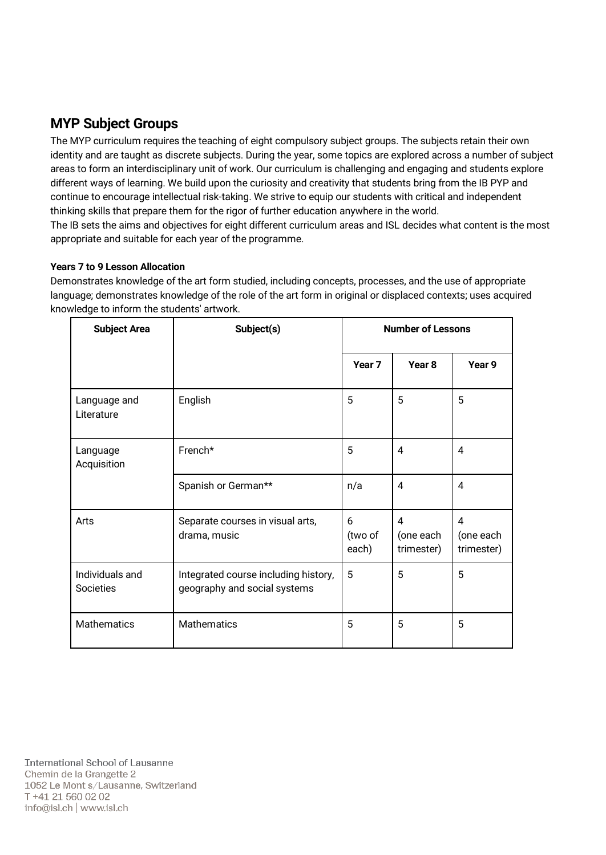# MYP Subject Groups

The MYP curriculum requires the teaching of eight compulsory subject groups. The subjects retain their own identity and are taught as discrete subjects. During the year, some topics are explored across a number of subject areas to form an interdisciplinary unit of work. Our curriculum is challenging and engaging and students explore different ways of learning. We build upon the curiosity and creativity that students bring from the IB PYP and continue to encourage intellectual risk-taking. We strive to equip our students with critical and independent thinking skills that prepare them for the rigor of further education anywhere in the world. The IB sets the aims and objectives for eight different curriculum areas and ISL decides what content is the most appropriate and suitable for each year of the programme.

#### Years 7 to 9 Lesson Allocation

Demonstrates knowledge of the art form studied, including concepts, processes, and the use of appropriate language; demonstrates knowledge of the role of the art form in original or displaced contexts; uses acquired knowledge to inform the students' artwork.

| <b>Subject Area</b>          | Subject(s)                                                           | <b>Number of Lessons</b> |                              |                                           |
|------------------------------|----------------------------------------------------------------------|--------------------------|------------------------------|-------------------------------------------|
|                              |                                                                      | Year <sub>7</sub>        | Year <sub>8</sub>            | Year 9                                    |
| Language and<br>Literature   | English                                                              | 5                        | 5                            | 5                                         |
| Language<br>Acquisition      | French*                                                              | 5                        | 4                            | 4                                         |
|                              | Spanish or German**                                                  | n/a                      | 4                            | 4                                         |
| Arts                         | Separate courses in visual arts,<br>drama, music                     | 6<br>(two of<br>each)    | 4<br>(one each<br>trimester) | $\overline{4}$<br>(one each<br>trimester) |
| Individuals and<br>Societies | Integrated course including history,<br>geography and social systems | 5                        | 5                            | 5                                         |
| <b>Mathematics</b>           | <b>Mathematics</b>                                                   | 5                        | 5                            | 5                                         |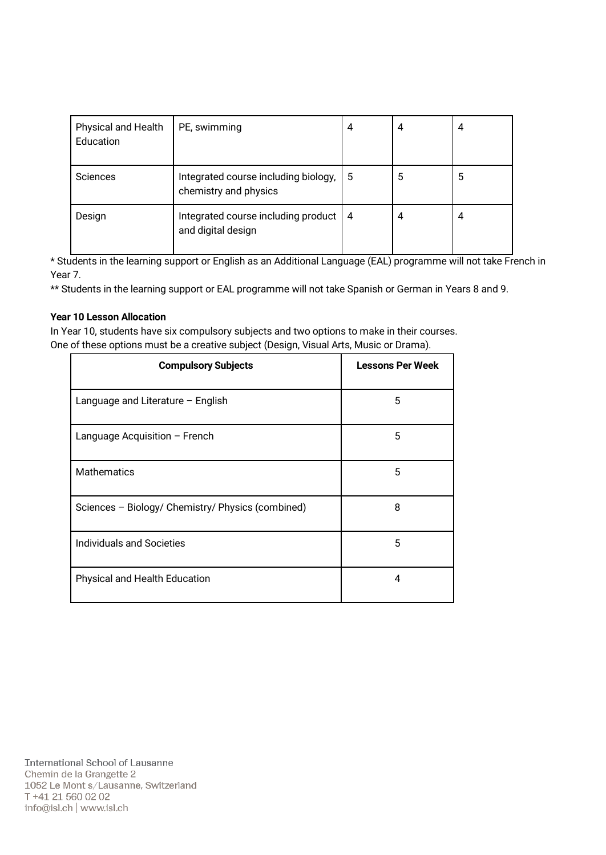| <b>Physical and Health</b><br>Education | PE, swimming                                                  | 4   | 4 | 4 |
|-----------------------------------------|---------------------------------------------------------------|-----|---|---|
| Sciences                                | Integrated course including biology,<br>chemistry and physics | 5   | 5 | 5 |
| Design                                  | Integrated course including product<br>and digital design     | l 4 | 4 | 4 |

\* Students in the learning support or English as an Additional Language (EAL) programme will not take French in Year 7.

\*\* Students in the learning support or EAL programme will not take Spanish or German in Years 8 and 9.

#### Year 10 Lesson Allocation

In Year 10, students have six compulsory subjects and two options to make in their courses. One of these options must be a creative subject (Design, Visual Arts, Music or Drama).

| <b>Compulsory Subjects</b>                        | <b>Lessons Per Week</b> |
|---------------------------------------------------|-------------------------|
| Language and Literature - English                 | 5                       |
| Language Acquisition - French                     | 5                       |
| <b>Mathematics</b>                                | 5                       |
| Sciences - Biology/ Chemistry/ Physics (combined) | 8                       |
| Individuals and Societies                         | 5                       |
| Physical and Health Education                     | 4                       |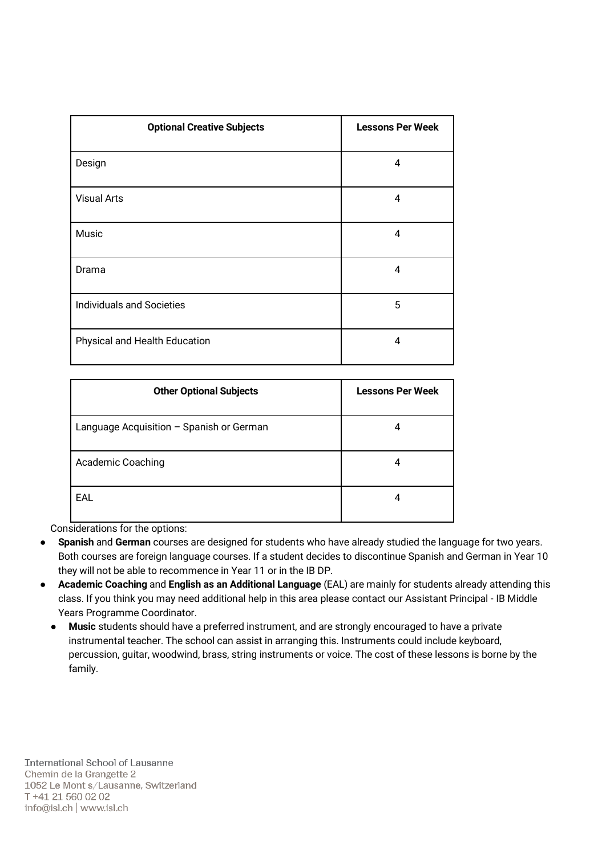| <b>Optional Creative Subjects</b> | <b>Lessons Per Week</b> |
|-----------------------------------|-------------------------|
| Design                            | 4                       |
| <b>Visual Arts</b>                | 4                       |
| Music                             | 4                       |
| Drama                             | 4                       |
| <b>Individuals and Societies</b>  | 5                       |
| Physical and Health Education     | 4                       |

| <b>Other Optional Subjects</b>           | <b>Lessons Per Week</b> |
|------------------------------------------|-------------------------|
| Language Acquisition - Spanish or German | 4                       |
| <b>Academic Coaching</b>                 | 4                       |
| EAL                                      | 4                       |

Considerations for the options:

- Spanish and German courses are designed for students who have already studied the language for two years. Both courses are foreign language courses. If a student decides to discontinue Spanish and German in Year 10 they will not be able to recommence in Year 11 or in the IB DP.
- Academic Coaching and English as an Additional Language (EAL) are mainly for students already attending this class. If you think you may need additional help in this area please contact our Assistant Principal - IB Middle Years Programme Coordinator.
	- Music students should have a preferred instrument, and are strongly encouraged to have a private instrumental teacher. The school can assist in arranging this. Instruments could include keyboard, percussion, guitar, woodwind, brass, string instruments or voice. The cost of these lessons is borne by the family.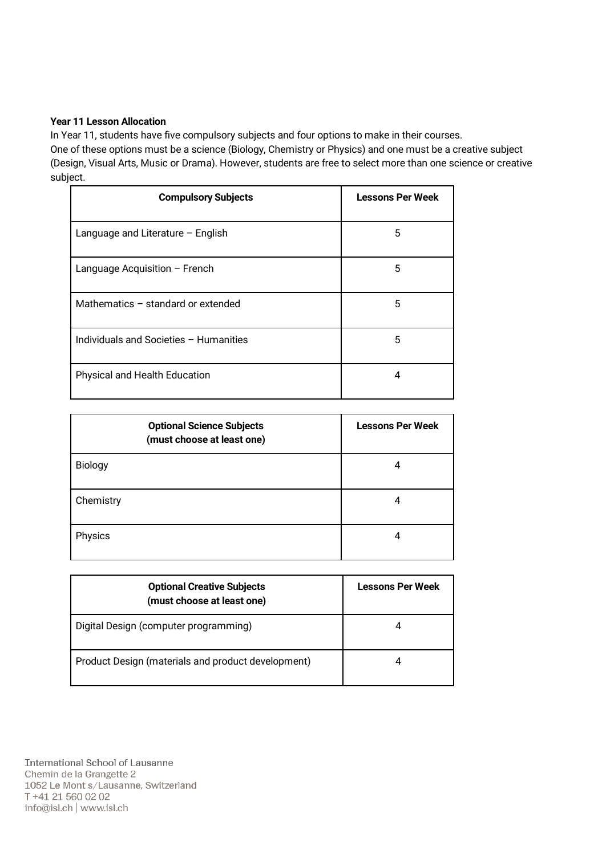#### Year 11 Lesson Allocation

In Year 11, students have five compulsory subjects and four options to make in their courses. One of these options must be a science (Biology, Chemistry or Physics) and one must be a creative subject (Design, Visual Arts, Music or Drama). However, students are free to select more than one science or creative subject.

| <b>Compulsory Subjects</b>             | <b>Lessons Per Week</b> |
|----------------------------------------|-------------------------|
| Language and Literature - English      | 5                       |
| Language Acquisition - French          | 5                       |
| Mathematics - standard or extended     | 5                       |
| Individuals and Societies - Humanities | 5                       |
| Physical and Health Education          | 4                       |

| <b>Optional Science Subjects</b><br>(must choose at least one) | <b>Lessons Per Week</b> |
|----------------------------------------------------------------|-------------------------|
| Biology                                                        |                         |
| Chemistry                                                      | 4                       |
| Physics                                                        |                         |

| <b>Optional Creative Subjects</b><br>(must choose at least one) | <b>Lessons Per Week</b> |
|-----------------------------------------------------------------|-------------------------|
| Digital Design (computer programming)                           |                         |
| Product Design (materials and product development)              |                         |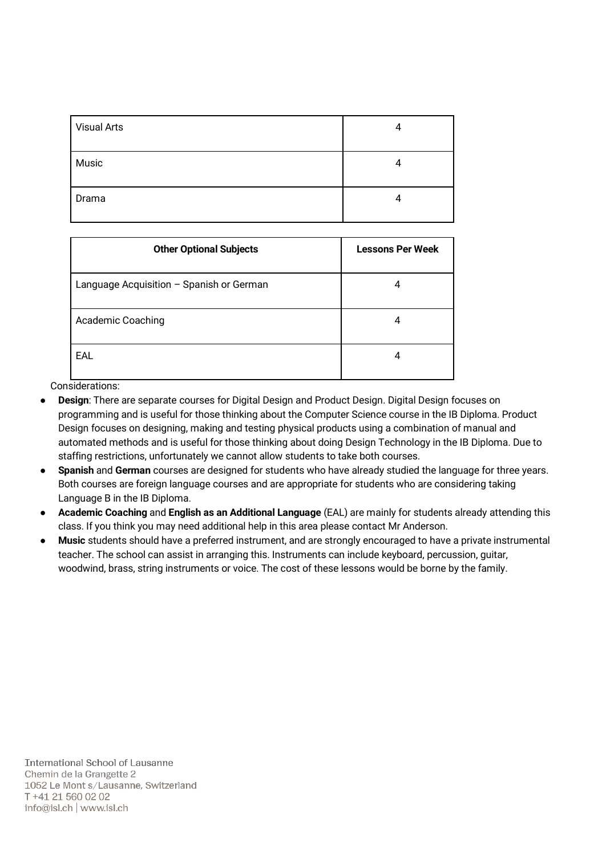| <b>Visual Arts</b> | 4 |
|--------------------|---|
| Music              | 4 |
| Drama              | 4 |

| <b>Other Optional Subjects</b>           | <b>Lessons Per Week</b> |
|------------------------------------------|-------------------------|
| Language Acquisition - Spanish or German | 4                       |
| Academic Coaching                        | 4                       |
| EAL                                      | 4                       |

Considerations:

- Design: There are separate courses for Digital Design and Product Design. Digital Design focuses on programming and is useful for those thinking about the Computer Science course in the IB Diploma. Product Design focuses on designing, making and testing physical products using a combination of manual and automated methods and is useful for those thinking about doing Design Technology in the IB Diploma. Due to staffing restrictions, unfortunately we cannot allow students to take both courses.
- Spanish and German courses are designed for students who have already studied the language for three years. Both courses are foreign language courses and are appropriate for students who are considering taking Language B in the IB Diploma.
- Academic Coaching and English as an Additional Language (EAL) are mainly for students already attending this class. If you think you may need additional help in this area please contact Mr Anderson.
- Music students should have a preferred instrument, and are strongly encouraged to have a private instrumental teacher. The school can assist in arranging this. Instruments can include keyboard, percussion, guitar, woodwind, brass, string instruments or voice. The cost of these lessons would be borne by the family.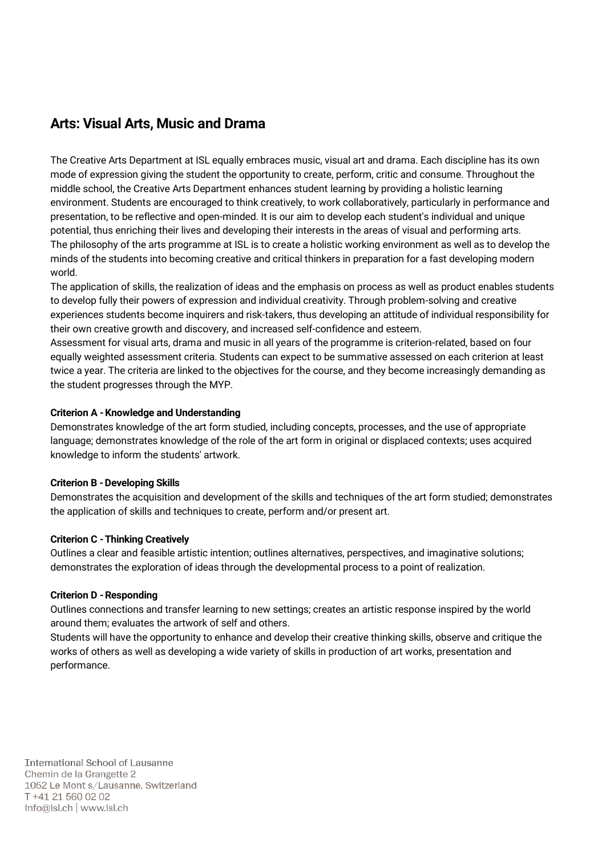### Arts: Visual Arts, Music and Drama

The Creative Arts Department at ISL equally embraces music, visual art and drama. Each discipline has its own mode of expression giving the student the opportunity to create, perform, critic and consume. Throughout the middle school, the Creative Arts Department enhances student learning by providing a holistic learning environment. Students are encouraged to think creatively, to work collaboratively, particularly in performance and presentation, to be reflective and open-minded. It is our aim to develop each student's individual and unique potential, thus enriching their lives and developing their interests in the areas of visual and performing arts. The philosophy of the arts programme at ISL is to create a holistic working environment as well as to develop the minds of the students into becoming creative and critical thinkers in preparation for a fast developing modern world.

The application of skills, the realization of ideas and the emphasis on process as well as product enables students to develop fully their powers of expression and individual creativity. Through problem-solving and creative experiences students become inquirers and risk-takers, thus developing an attitude of individual responsibility for their own creative growth and discovery, and increased self-confidence and esteem.

Assessment for visual arts, drama and music in all years of the programme is criterion-related, based on four equally weighted assessment criteria. Students can expect to be summative assessed on each criterion at least twice a year. The criteria are linked to the objectives for the course, and they become increasingly demanding as the student progresses through the MYP.

#### Criterion A -Knowledge and Understanding

Demonstrates knowledge of the art form studied, including concepts, processes, and the use of appropriate language; demonstrates knowledge of the role of the art form in original or displaced contexts; uses acquired knowledge to inform the students' artwork.

#### **Criterion B - Developing Skills**

Demonstrates the acquisition and development of the skills and techniques of the art form studied; demonstrates the application of skills and techniques to create, perform and/or present art.

#### Criterion C -Thinking Creatively

Outlines a clear and feasible artistic intention; outlines alternatives, perspectives, and imaginative solutions; demonstrates the exploration of ideas through the developmental process to a point of realization.

#### Criterion D -Responding

Outlines connections and transfer learning to new settings; creates an artistic response inspired by the world around them; evaluates the artwork of self and others.

Students will have the opportunity to enhance and develop their creative thinking skills, observe and critique the works of others as well as developing a wide variety of skills in production of art works, presentation and performance.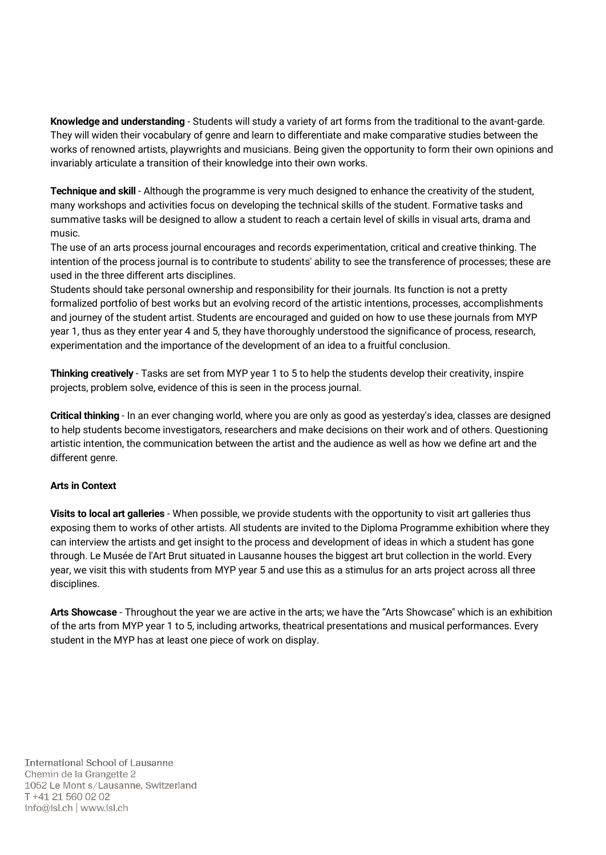Knowledge and understanding - Students will study a variety of art forms from the traditional to the avant-garde. They will widen their vocabulary of genre and learn to differentiate and make comparative studies between the works of renowned artists, playwrights and musicians. Being given the opportunity to form their own opinions and invariably articulate a transition of their knowledge into their own works.

Technique and skill - Although the programme is very much designed to enhance the creativity of the student, many workshops and activities focus on developing the technical skills of the student. Formative tasks and summative tasks will be designed to allow a student to reach a certain level of skills in visual arts, drama and music.

The use of an arts process journal encourages and records experimentation, critical and creative thinking. The intention of the process journal is to contribute to students' ability to see the transference of processes; these are used in the three different arts disciplines.

Students should take personal ownership and responsibility for their journals. Its function is not a pretty formalized portfolio of best works but an evolving record of the artistic intentions, processes, accomplishments and journey of the student artist. Students are encouraged and guided on how to use these journals from MYP year 1, thus as they enter year 4 and 5, they have thoroughly understood the significance of process, research, experimentation and the importance of the development of an idea to a fruitful conclusion.

Thinking creatively - Tasks are set from MYP year 1 to 5 to help the students develop their creativity, inspire projects, problem solve, evidence of this is seen in the process journal.

Critical thinking - In an ever changing world, where you are only as good as yesterday's idea, classes are designed to help students become investigators, researchers and make decisions on their work and of others. Questioning artistic intention, the communication between the artist and the audience as well as how we define art and the different genre.

#### Arts in Context

Visits to local art galleries - When possible, we provide students with the opportunity to visit art galleries thus exposing them to works of other artists. All students are invited to the Diploma Programme exhibition where they can interview the artists and get insight to the process and development of ideas in which a student has gone through. Le Musée de l'Art Brut situated in Lausanne houses the biggest art brut collection in the world. Every year, we visit this with students from MYP year 5 and use this as a stimulus for an arts project across all three disciplines.

Arts Showcase - Throughout the year we are active in the arts; we have the "Arts Showcase" which is an exhibition of the arts from MYP year 1 to 5, including artworks, theatrical presentations and musical performances. Every student in the MYP has at least one piece of work on display.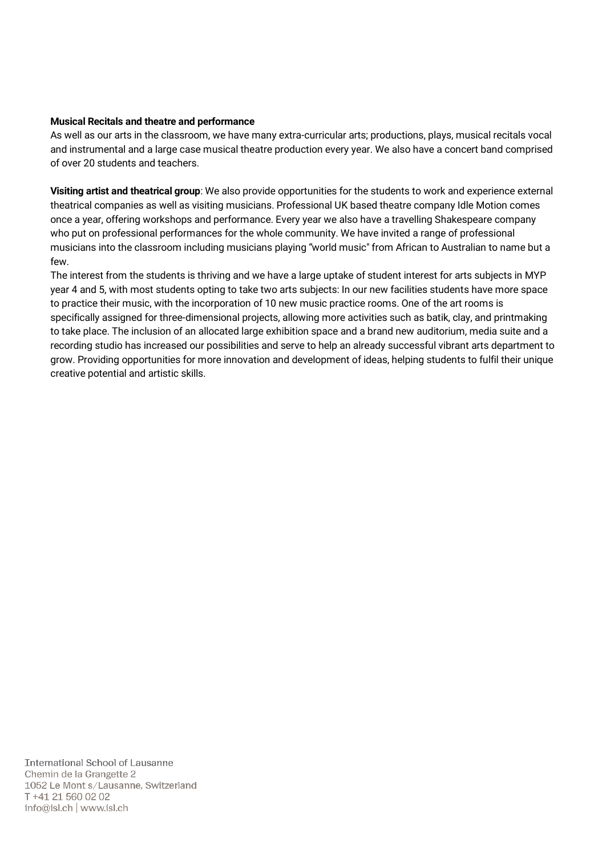#### Musical Recitals and theatre and performance

As well as our arts in the classroom, we have many extra-curricular arts; productions, plays, musical recitals vocal and instrumental and a large case musical theatre production every year. We also have a concert band comprised of over 20 students and teachers.

Visiting artist and theatrical group: We also provide opportunities for the students to work and experience external theatrical companies as well as visiting musicians. Professional UK based theatre company Idle Motion comes once a year, offering workshops and performance. Every year we also have a travelling Shakespeare company who put on professional performances for the whole community. We have invited a range of professional musicians into the classroom including musicians playing "world music" from African to Australian to name but a few.

The interest from the students is thriving and we have a large uptake of student interest for arts subjects in MYP year 4 and 5, with most students opting to take two arts subjects: In our new facilities students have more space to practice their music, with the incorporation of 10 new music practice rooms. One of the art rooms is specifically assigned for three-dimensional projects, allowing more activities such as batik, clay, and printmaking to take place. The inclusion of an allocated large exhibition space and a brand new auditorium, media suite and a recording studio has increased our possibilities and serve to help an already successful vibrant arts department to grow. Providing opportunities for more innovation and development of ideas, helping students to fulfil their unique creative potential and artistic skills.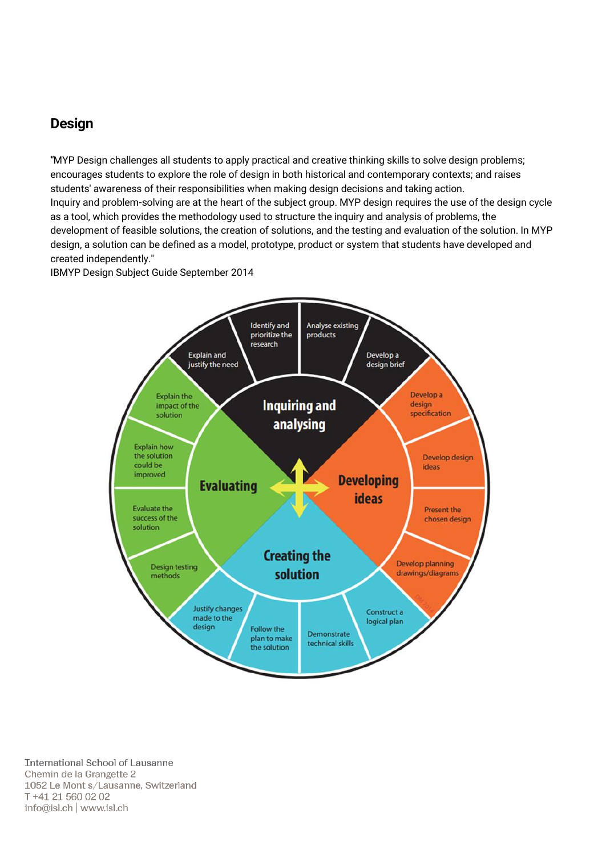### Design

"MYP Design challenges all students to apply practical and creative thinking skills to solve design problems; encourages students to explore the role of design in both historical and contemporary contexts; and raises students' awareness of their responsibilities when making design decisions and taking action. Inquiry and problem-solving are at the heart of the subject group. MYP design requires the use of the design cycle as a tool, which provides the methodology used to structure the inquiry and analysis of problems, the development of feasible solutions, the creation of solutions, and the testing and evaluation of the solution. In MYP design, a solution can be defined as a model, prototype, product or system that students have developed and created independently."

IBMYP Design Subject Guide September 2014

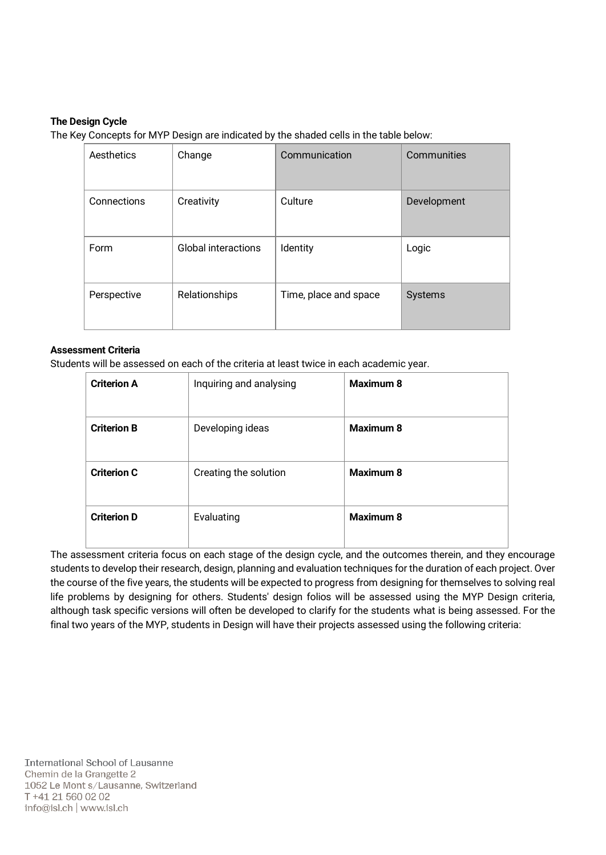#### The Design Cycle

The Key Concepts for MYP Design are indicated by the shaded cells in the table below:

| Aesthetics  | Change                     | Communication         | Communities    |
|-------------|----------------------------|-----------------------|----------------|
| Connections | Creativity                 | Culture               | Development    |
| Form        | <b>Global interactions</b> | Identity              | Logic          |
| Perspective | Relationships              | Time, place and space | <b>Systems</b> |

#### Assessment Criteria

Students will be assessed on each of the criteria at least twice in each academic year.

| <b>Criterion A</b> | Inquiring and analysing | <b>Maximum 8</b> |
|--------------------|-------------------------|------------------|
| <b>Criterion B</b> | Developing ideas        | <b>Maximum 8</b> |
| <b>Criterion C</b> | Creating the solution   | <b>Maximum 8</b> |
| <b>Criterion D</b> | Evaluating              | <b>Maximum 8</b> |

The assessment criteria focus on each stage of the design cycle, and the outcomes therein, and they encourage students to develop their research, design, planning and evaluation techniques for the duration of each project. Over the course of the five years, the students will be expected to progress from designing for themselves to solving real life problems by designing for others. Students' design folios will be assessed using the MYP Design criteria, although task specific versions will often be developed to clarify for the students what is being assessed. For the final two years of the MYP, students in Design will have their projects assessed using the following criteria: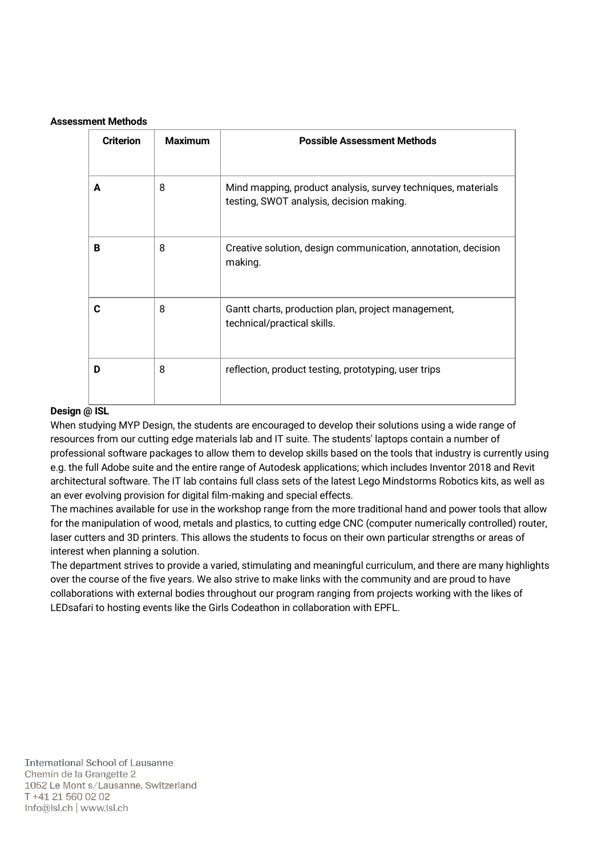#### Assessment Methods

| <b>Criterion</b> | <b>Maximum</b> | <b>Possible Assessment Methods</b>                                                                       |
|------------------|----------------|----------------------------------------------------------------------------------------------------------|
| A                | 8              | Mind mapping, product analysis, survey techniques, materials<br>testing, SWOT analysis, decision making. |
| B                | 8              | Creative solution, design communication, annotation, decision<br>making.                                 |
| C                | 8              | Gantt charts, production plan, project management,<br>technical/practical skills.                        |
| D                | 8              | reflection, product testing, prototyping, user trips                                                     |

#### Design @ ISL

When studying MYP Design, the students are encouraged to develop their solutions using a wide range of resources from our cutting edge materials lab and IT suite. The students' laptops contain a number of professional software packages to allow them to develop skills based on the tools that industry is currently using e.g. the full Adobe suite and the entire range of Autodesk applications; which includes Inventor 2018 and Revit architectural software. The IT lab contains full class sets of the latest Lego Mindstorms Robotics kits, as well as an ever evolving provision for digital film-making and special effects.

The machines available for use in the workshop range from the more traditional hand and power tools that allow for the manipulation of wood, metals and plastics, to cutting edge CNC (computer numerically controlled) router, laser cutters and 3D printers. This allows the students to focus on their own particular strengths or areas of interest when planning a solution.

The department strives to provide a varied, stimulating and meaningful curriculum, and there are many highlights over the course of the five years. We also strive to make links with the community and are proud to have collaborations with external bodies throughout our program ranging from projects working with the likes of LEDsafari to hosting events like the Girls Codeathon in collaboration with EPFL.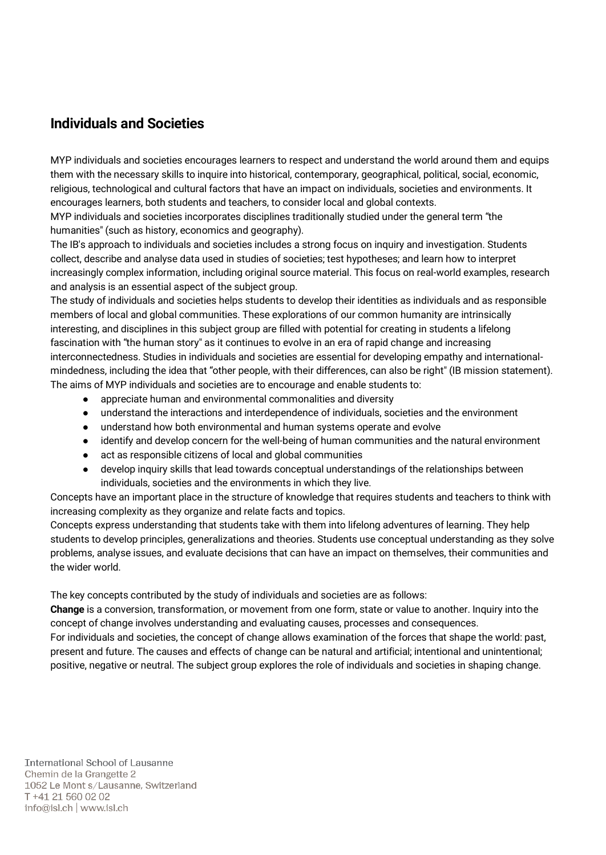# Individuals and Societies

MYP individuals and societies encourages learners to respect and understand the world around them and equips them with the necessary skills to inquire into historical, contemporary, geographical, political, social, economic, religious, technological and cultural factors that have an impact on individuals, societies and environments. It encourages learners, both students and teachers, to consider local and global contexts.

MYP individuals and societies incorporates disciplines traditionally studied under the general term "the humanities" (such as history, economics and geography).

The IB's approach to individuals and societies includes a strong focus on inquiry and investigation. Students collect, describe and analyse data used in studies of societies; test hypotheses; and learn how to interpret increasingly complex information, including original source material. This focus on real-world examples, research and analysis is an essential aspect of the subject group.

The study of individuals and societies helps students to develop their identities as individuals and as responsible members of local and global communities. These explorations of our common humanity are intrinsically interesting, and disciplines in this subject group are filled with potential for creating in students a lifelong fascination with "the human story" as it continues to evolve in an era of rapid change and increasing interconnectedness. Studies in individuals and societies are essential for developing empathy and internationalmindedness, including the idea that "other people, with their differences, can also be right" (IB mission statement). The aims of MYP individuals and societies are to encourage and enable students to:

- appreciate human and environmental commonalities and diversity
- understand the interactions and interdependence of individuals, societies and the environment
- understand how both environmental and human systems operate and evolve
- identify and develop concern for the well-being of human communities and the natural environment
- act as responsible citizens of local and global communities
- develop inquiry skills that lead towards conceptual understandings of the relationships between individuals, societies and the environments in which they live.

Concepts have an important place in the structure of knowledge that requires students and teachers to think with increasing complexity as they organize and relate facts and topics.

Concepts express understanding that students take with them into lifelong adventures of learning. They help students to develop principles, generalizations and theories. Students use conceptual understanding as they solve problems, analyse issues, and evaluate decisions that can have an impact on themselves, their communities and the wider world.

The key concepts contributed by the study of individuals and societies are as follows:

Change is a conversion, transformation, or movement from one form, state or value to another. Inquiry into the concept of change involves understanding and evaluating causes, processes and consequences.

For individuals and societies, the concept of change allows examination of the forces that shape the world: past, present and future. The causes and effects of change can be natural and artificial; intentional and unintentional; positive, negative or neutral. The subject group explores the role of individuals and societies in shaping change.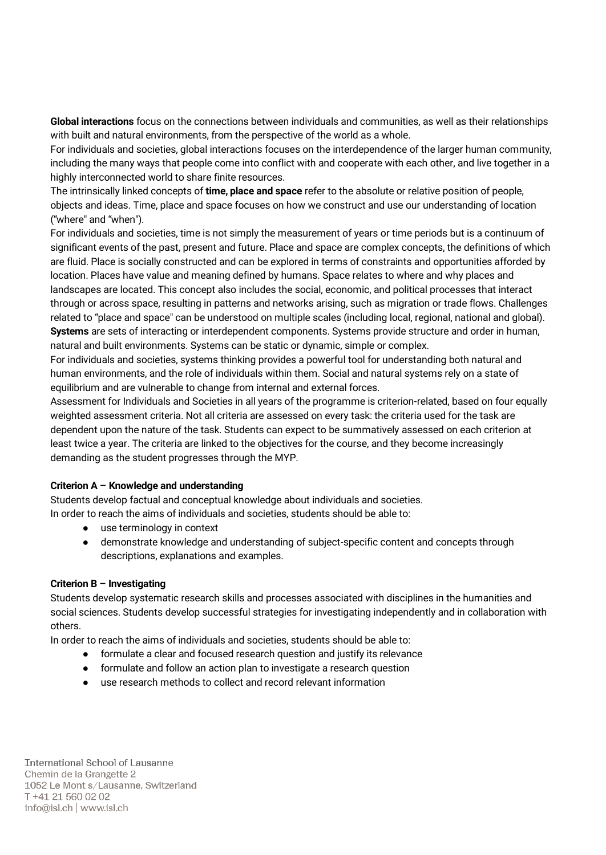Global interactions focus on the connections between individuals and communities, as well as their relationships with built and natural environments, from the perspective of the world as a whole.

For individuals and societies, global interactions focuses on the interdependence of the larger human community, including the many ways that people come into conflict with and cooperate with each other, and live together in a highly interconnected world to share finite resources.

The intrinsically linked concepts of time, place and space refer to the absolute or relative position of people, objects and ideas. Time, place and space focuses on how we construct and use our understanding of location ("where" and "when").

For individuals and societies, time is not simply the measurement of years or time periods but is a continuum of significant events of the past, present and future. Place and space are complex concepts, the definitions of which are fluid. Place is socially constructed and can be explored in terms of constraints and opportunities afforded by location. Places have value and meaning defined by humans. Space relates to where and why places and landscapes are located. This concept also includes the social, economic, and political processes that interact through or across space, resulting in patterns and networks arising, such as migration or trade flows. Challenges related to "place and space" can be understood on multiple scales (including local, regional, national and global). Systems are sets of interacting or interdependent components. Systems provide structure and order in human, natural and built environments. Systems can be static or dynamic, simple or complex.

For individuals and societies, systems thinking provides a powerful tool for understanding both natural and human environments, and the role of individuals within them. Social and natural systems rely on a state of equilibrium and are vulnerable to change from internal and external forces.

Assessment for Individuals and Societies in all years of the programme is criterion-related, based on four equally weighted assessment criteria. Not all criteria are assessed on every task: the criteria used for the task are dependent upon the nature of the task. Students can expect to be summatively assessed on each criterion at least twice a year. The criteria are linked to the objectives for the course, and they become increasingly demanding as the student progresses through the MYP.

#### Criterion A – Knowledge and understanding

Students develop factual and conceptual knowledge about individuals and societies. In order to reach the aims of individuals and societies, students should be able to:

- use terminology in context
- demonstrate knowledge and understanding of subject-specific content and concepts through descriptions, explanations and examples.

#### Criterion B – Investigating

Students develop systematic research skills and processes associated with disciplines in the humanities and social sciences. Students develop successful strategies for investigating independently and in collaboration with others.

In order to reach the aims of individuals and societies, students should be able to:

- formulate a clear and focused research question and justify its relevance
- formulate and follow an action plan to investigate a research question
- use research methods to collect and record relevant information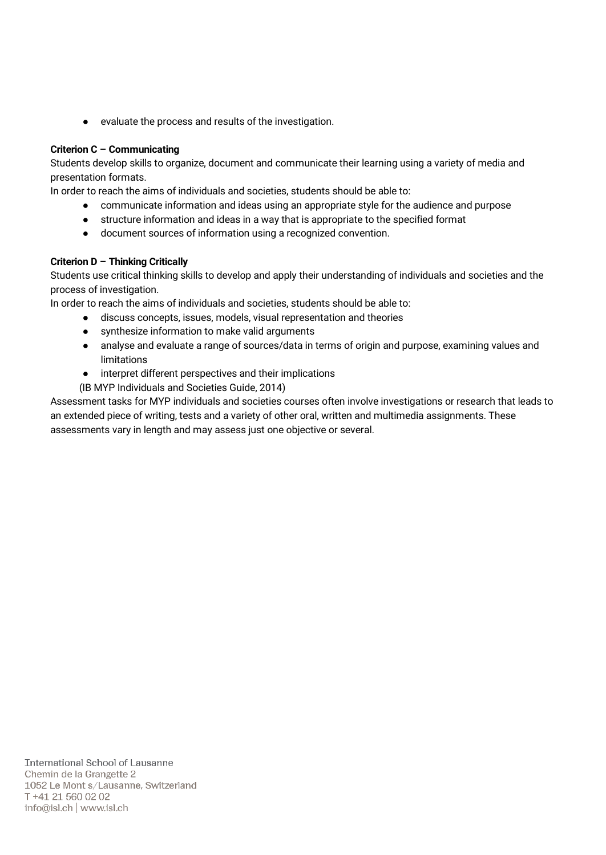● evaluate the process and results of the investigation.

#### Criterion C – Communicating

Students develop skills to organize, document and communicate their learning using a variety of media and presentation formats.

In order to reach the aims of individuals and societies, students should be able to:

- communicate information and ideas using an appropriate style for the audience and purpose
- structure information and ideas in a way that is appropriate to the specified format
- document sources of information using a recognized convention.

#### Criterion D – Thinking Critically

Students use critical thinking skills to develop and apply their understanding of individuals and societies and the process of investigation.

In order to reach the aims of individuals and societies, students should be able to:

- discuss concepts, issues, models, visual representation and theories
- synthesize information to make valid arguments
- analyse and evaluate a range of sources/data in terms of origin and purpose, examining values and limitations
- interpret different perspectives and their implications
- (IB MYP Individuals and Societies Guide, 2014)

Assessment tasks for MYP individuals and societies courses often involve investigations or research that leads to an extended piece of writing, tests and a variety of other oral, written and multimedia assignments. These assessments vary in length and may assess just one objective or several.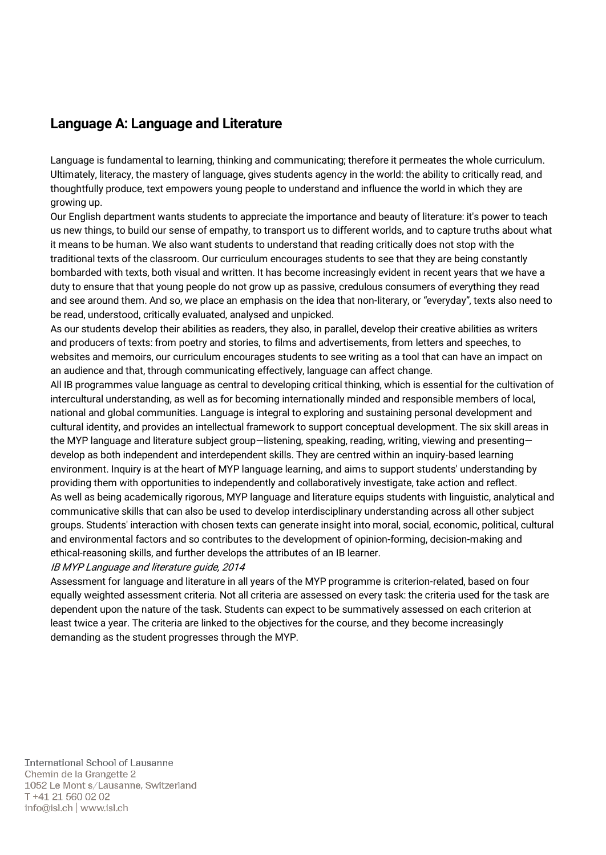# Language A: Language and Literature

Language is fundamental to learning, thinking and communicating; therefore it permeates the whole curriculum. Ultimately, literacy, the mastery of language, gives students agency in the world: the ability to critically read, and thoughtfully produce, text empowers young people to understand and influence the world in which they are growing up.

Our English department wants students to appreciate the importance and beauty of literature: it's power to teach us new things, to build our sense of empathy, to transport us to different worlds, and to capture truths about what it means to be human. We also want students to understand that reading critically does not stop with the traditional texts of the classroom. Our curriculum encourages students to see that they are being constantly bombarded with texts, both visual and written. It has become increasingly evident in recent years that we have a duty to ensure that that young people do not grow up as passive, credulous consumers of everything they read and see around them. And so, we place an emphasis on the idea that non-literary, or "everyday", texts also need to be read, understood, critically evaluated, analysed and unpicked.

As our students develop their abilities as readers, they also, in parallel, develop their creative abilities as writers and producers of texts: from poetry and stories, to films and advertisements, from letters and speeches, to websites and memoirs, our curriculum encourages students to see writing as a tool that can have an impact on an audience and that, through communicating effectively, language can affect change.

All IB programmes value language as central to developing critical thinking, which is essential for the cultivation of intercultural understanding, as well as for becoming internationally minded and responsible members of local, national and global communities. Language is integral to exploring and sustaining personal development and cultural identity, and provides an intellectual framework to support conceptual development. The six skill areas in the MYP language and literature subject group—listening, speaking, reading, writing, viewing and presenting develop as both independent and interdependent skills. They are centred within an inquiry-based learning environment. Inquiry is at the heart of MYP language learning, and aims to support students' understanding by providing them with opportunities to independently and collaboratively investigate, take action and reflect. As well as being academically rigorous, MYP language and literature equips students with linguistic, analytical and communicative skills that can also be used to develop interdisciplinary understanding across all other subject groups. Students' interaction with chosen texts can generate insight into moral, social, economic, political, cultural and environmental factors and so contributes to the development of opinion-forming, decision-making and ethical-reasoning skills, and further develops the attributes of an IB learner.

#### IB MYP Language and literature guide, 2014

Assessment for language and literature in all years of the MYP programme is criterion-related, based on four equally weighted assessment criteria. Not all criteria are assessed on every task: the criteria used for the task are dependent upon the nature of the task. Students can expect to be summatively assessed on each criterion at least twice a year. The criteria are linked to the objectives for the course, and they become increasingly demanding as the student progresses through the MYP.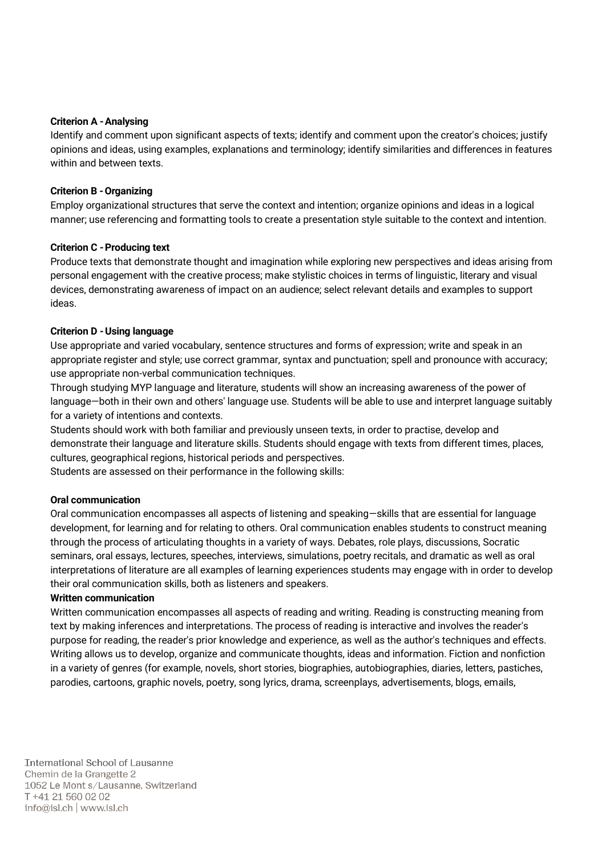#### Criterion A -Analysing

Identify and comment upon significant aspects of texts; identify and comment upon the creator's choices; justify opinions and ideas, using examples, explanations and terminology; identify similarities and differences in features within and between texts.

#### Criterion B -Organizing

Employ organizational structures that serve the context and intention; organize opinions and ideas in a logical manner; use referencing and formatting tools to create a presentation style suitable to the context and intention.

#### Criterion C -Producing text

Produce texts that demonstrate thought and imagination while exploring new perspectives and ideas arising from personal engagement with the creative process; make stylistic choices in terms of linguistic, literary and visual devices, demonstrating awareness of impact on an audience; select relevant details and examples to support ideas.

#### Criterion D -Using language

Use appropriate and varied vocabulary, sentence structures and forms of expression; write and speak in an appropriate register and style; use correct grammar, syntax and punctuation; spell and pronounce with accuracy; use appropriate non-verbal communication techniques.

Through studying MYP language and literature, students will show an increasing awareness of the power of language—both in their own and others' language use. Students will be able to use and interpret language suitably for a variety of intentions and contexts.

Students should work with both familiar and previously unseen texts, in order to practise, develop and demonstrate their language and literature skills. Students should engage with texts from different times, places, cultures, geographical regions, historical periods and perspectives.

Students are assessed on their performance in the following skills:

#### Oral communication

Oral communication encompasses all aspects of listening and speaking—skills that are essential for language development, for learning and for relating to others. Oral communication enables students to construct meaning through the process of articulating thoughts in a variety of ways. Debates, role plays, discussions, Socratic seminars, oral essays, lectures, speeches, interviews, simulations, poetry recitals, and dramatic as well as oral interpretations of literature are all examples of learning experiences students may engage with in order to develop their oral communication skills, both as listeners and speakers.

#### Written communication

Written communication encompasses all aspects of reading and writing. Reading is constructing meaning from text by making inferences and interpretations. The process of reading is interactive and involves the reader's purpose for reading, the reader's prior knowledge and experience, as well as the author's techniques and effects. Writing allows us to develop, organize and communicate thoughts, ideas and information. Fiction and nonfiction in a variety of genres (for example, novels, short stories, biographies, autobiographies, diaries, letters, pastiches, parodies, cartoons, graphic novels, poetry, song lyrics, drama, screenplays, advertisements, blogs, emails,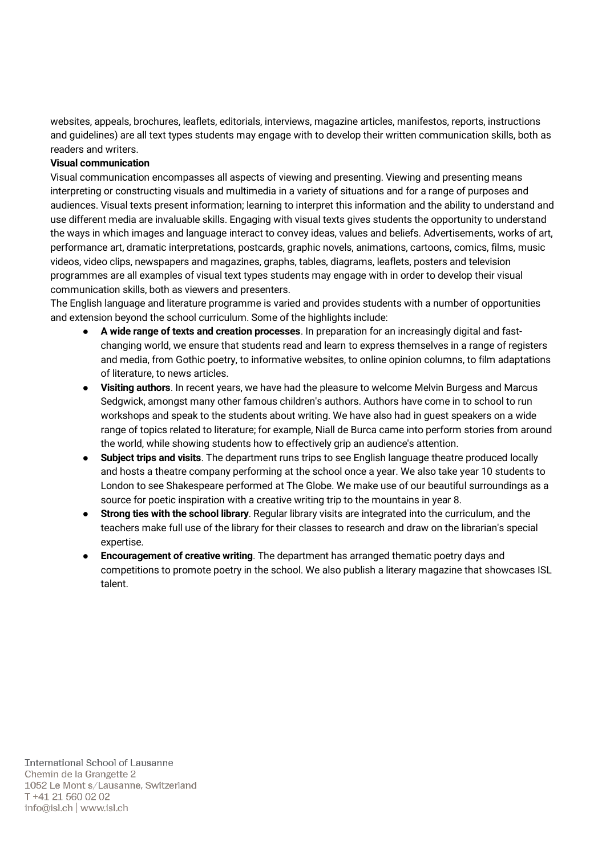websites, appeals, brochures, leaflets, editorials, interviews, magazine articles, manifestos, reports, instructions and guidelines) are all text types students may engage with to develop their written communication skills, both as readers and writers.

#### Visual communication

Visual communication encompasses all aspects of viewing and presenting. Viewing and presenting means interpreting or constructing visuals and multimedia in a variety of situations and for a range of purposes and audiences. Visual texts present information; learning to interpret this information and the ability to understand and use different media are invaluable skills. Engaging with visual texts gives students the opportunity to understand the ways in which images and language interact to convey ideas, values and beliefs. Advertisements, works of art, performance art, dramatic interpretations, postcards, graphic novels, animations, cartoons, comics, films, music videos, video clips, newspapers and magazines, graphs, tables, diagrams, leaflets, posters and television programmes are all examples of visual text types students may engage with in order to develop their visual communication skills, both as viewers and presenters.

The English language and literature programme is varied and provides students with a number of opportunities and extension beyond the school curriculum. Some of the highlights include:

- A wide range of texts and creation processes. In preparation for an increasingly digital and fastchanging world, we ensure that students read and learn to express themselves in a range of registers and media, from Gothic poetry, to informative websites, to online opinion columns, to film adaptations of literature, to news articles.
- Visiting authors. In recent years, we have had the pleasure to welcome Melvin Burgess and Marcus Sedgwick, amongst many other famous children's authors. Authors have come in to school to run workshops and speak to the students about writing. We have also had in guest speakers on a wide range of topics related to literature; for example, Niall de Burca came into perform stories from around the world, while showing students how to effectively grip an audience's attention.
- Subject trips and visits. The department runs trips to see English language theatre produced locally and hosts a theatre company performing at the school once a year. We also take year 10 students to London to see Shakespeare performed at The Globe. We make use of our beautiful surroundings as a source for poetic inspiration with a creative writing trip to the mountains in year 8.
- Strong ties with the school library. Regular library visits are integrated into the curriculum, and the teachers make full use of the library for their classes to research and draw on the librarian's special expertise.
- **Encouragement of creative writing**. The department has arranged thematic poetry days and competitions to promote poetry in the school. We also publish a literary magazine that showcases ISL talent.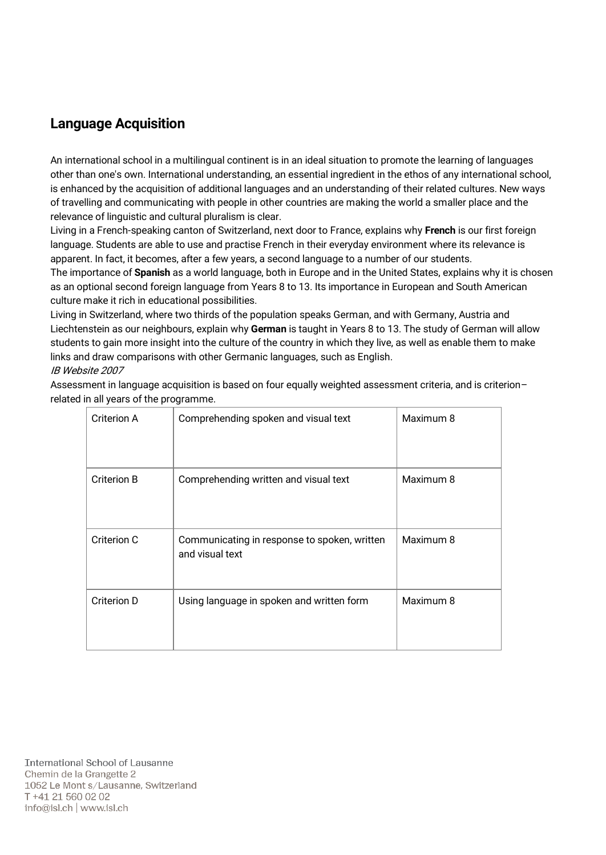# Language Acquisition

An international school in a multilingual continent is in an ideal situation to promote the learning of languages other than one's own. International understanding, an essential ingredient in the ethos of any international school, is enhanced by the acquisition of additional languages and an understanding of their related cultures. New ways of travelling and communicating with people in other countries are making the world a smaller place and the relevance of linguistic and cultural pluralism is clear.

Living in a French-speaking canton of Switzerland, next door to France, explains why French is our first foreign language. Students are able to use and practise French in their everyday environment where its relevance is apparent. In fact, it becomes, after a few years, a second language to a number of our students.

The importance of Spanish as a world language, both in Europe and in the United States, explains why it is chosen as an optional second foreign language from Years 8 to 13. Its importance in European and South American culture make it rich in educational possibilities.

Living in Switzerland, where two thirds of the population speaks German, and with Germany, Austria and Liechtenstein as our neighbours, explain why German is taught in Years 8 to 13. The study of German will allow students to gain more insight into the culture of the country in which they live, as well as enable them to make links and draw comparisons with other Germanic languages, such as English.

#### IB Website 2007

Assessment in language acquisition is based on four equally weighted assessment criteria, and is criterion– related in all years of the programme.

| Criterion A | Comprehending spoken and visual text                            | Maximum 8 |
|-------------|-----------------------------------------------------------------|-----------|
| Criterion B | Comprehending written and visual text                           | Maximum 8 |
| Criterion C | Communicating in response to spoken, written<br>and visual text | Maximum 8 |
| Criterion D | Using language in spoken and written form                       | Maximum 8 |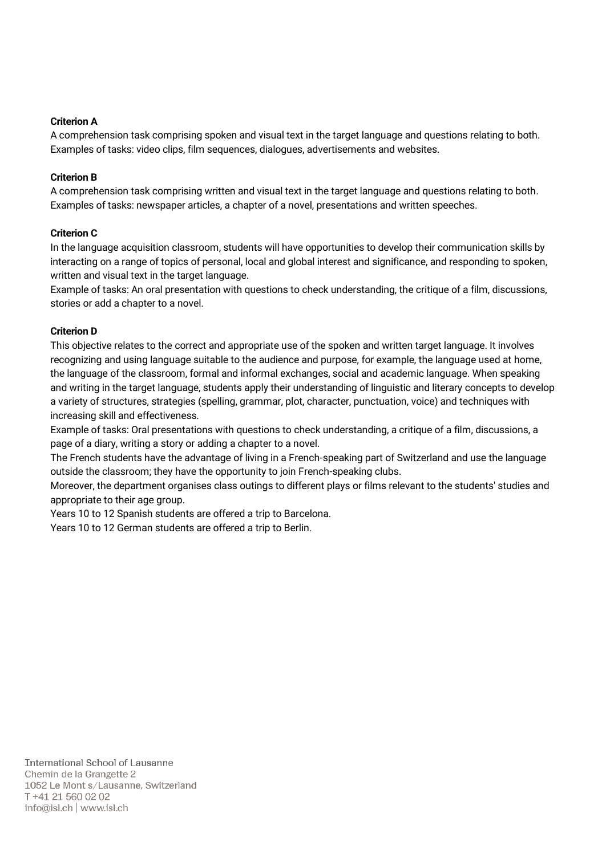#### Criterion A

A comprehension task comprising spoken and visual text in the target language and questions relating to both. Examples of tasks: video clips, film sequences, dialogues, advertisements and websites.

#### Criterion B

A comprehension task comprising written and visual text in the target language and questions relating to both. Examples of tasks: newspaper articles, a chapter of a novel, presentations and written speeches.

#### Criterion C

In the language acquisition classroom, students will have opportunities to develop their communication skills by interacting on a range of topics of personal, local and global interest and significance, and responding to spoken, written and visual text in the target language.

Example of tasks: An oral presentation with questions to check understanding, the critique of a film, discussions, stories or add a chapter to a novel.

#### Criterion D

This objective relates to the correct and appropriate use of the spoken and written target language. It involves recognizing and using language suitable to the audience and purpose, for example, the language used at home, the language of the classroom, formal and informal exchanges, social and academic language. When speaking and writing in the target language, students apply their understanding of linguistic and literary concepts to develop a variety of structures, strategies (spelling, grammar, plot, character, punctuation, voice) and techniques with increasing skill and effectiveness.

Example of tasks: Oral presentations with questions to check understanding, a critique of a film, discussions, a page of a diary, writing a story or adding a chapter to a novel.

The French students have the advantage of living in a French-speaking part of Switzerland and use the language outside the classroom; they have the opportunity to join French-speaking clubs.

Moreover, the department organises class outings to different plays or films relevant to the students' studies and appropriate to their age group.

Years 10 to 12 Spanish students are offered a trip to Barcelona.

Years 10 to 12 German students are offered a trip to Berlin.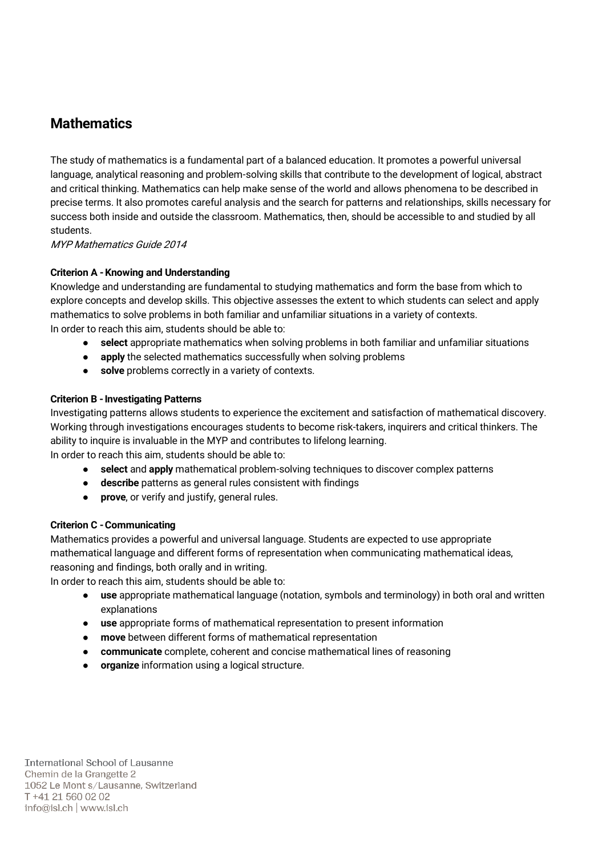# **Mathematics**

The study of mathematics is a fundamental part of a balanced education. It promotes a powerful universal language, analytical reasoning and problem-solving skills that contribute to the development of logical, abstract and critical thinking. Mathematics can help make sense of the world and allows phenomena to be described in precise terms. It also promotes careful analysis and the search for patterns and relationships, skills necessary for success both inside and outside the classroom. Mathematics, then, should be accessible to and studied by all students.

MYP Mathematics Guide 2014

#### Criterion A -Knowing and Understanding

Knowledge and understanding are fundamental to studying mathematics and form the base from which to explore concepts and develop skills. This objective assesses the extent to which students can select and apply mathematics to solve problems in both familiar and unfamiliar situations in a variety of contexts. In order to reach this aim, students should be able to:

- select appropriate mathematics when solving problems in both familiar and unfamiliar situations
- apply the selected mathematics successfully when solving problems
- solve problems correctly in a variety of contexts.

#### **Criterion B - Investigating Patterns**

Investigating patterns allows students to experience the excitement and satisfaction of mathematical discovery. Working through investigations encourages students to become risk-takers, inquirers and critical thinkers. The ability to inquire is invaluable in the MYP and contributes to lifelong learning.

In order to reach this aim, students should be able to:

- select and apply mathematical problem-solving techniques to discover complex patterns
- describe patterns as general rules consistent with findings
- prove, or verify and justify, general rules.

#### Criterion C -Communicating

Mathematics provides a powerful and universal language. Students are expected to use appropriate mathematical language and different forms of representation when communicating mathematical ideas, reasoning and findings, both orally and in writing.

In order to reach this aim, students should be able to:

- use appropriate mathematical language (notation, symbols and terminology) in both oral and written explanations
- use appropriate forms of mathematical representation to present information
- move between different forms of mathematical representation
- communicate complete, coherent and concise mathematical lines of reasoning
- organize information using a logical structure.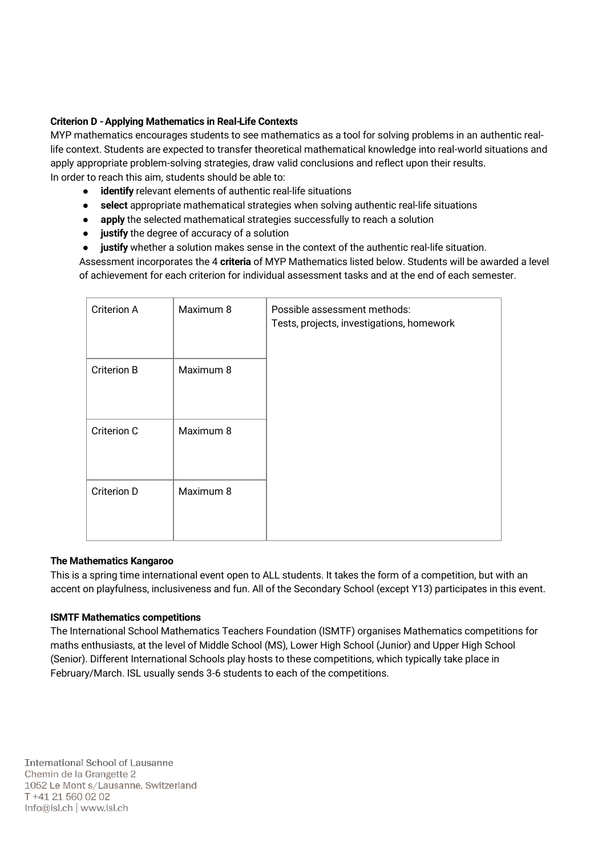#### Criterion D -Applying Mathematics in Real-Life Contexts

MYP mathematics encourages students to see mathematics as a tool for solving problems in an authentic reallife context. Students are expected to transfer theoretical mathematical knowledge into real-world situations and apply appropriate problem-solving strategies, draw valid conclusions and reflect upon their results. In order to reach this aim, students should be able to:

- identify relevant elements of authentic real-life situations
- select appropriate mathematical strategies when solving authentic real-life situations
- apply the selected mathematical strategies successfully to reach a solution
- justify the degree of accuracy of a solution
- justify whether a solution makes sense in the context of the authentic real-life situation.

Assessment incorporates the 4 criteria of MYP Mathematics listed below. Students will be awarded a level of achievement for each criterion for individual assessment tasks and at the end of each semester.

| Criterion A        | Maximum 8 | Possible assessment methods:<br>Tests, projects, investigations, homework |
|--------------------|-----------|---------------------------------------------------------------------------|
| <b>Criterion B</b> | Maximum 8 |                                                                           |
| Criterion C        | Maximum 8 |                                                                           |
| Criterion D        | Maximum 8 |                                                                           |

#### The Mathematics Kangaroo

This is a spring time international event open to ALL students. It takes the form of a competition, but with an accent on playfulness, inclusiveness and fun. All of the Secondary School (except Y13) participates in this event.

#### ISMTF Mathematics competitions

The International School Mathematics Teachers Foundation (ISMTF) organises Mathematics competitions for maths enthusiasts, at the level of Middle School (MS), Lower High School (Junior) and Upper High School (Senior). Different International Schools play hosts to these competitions, which typically take place in February/March. ISL usually sends 3-6 students to each of the competitions.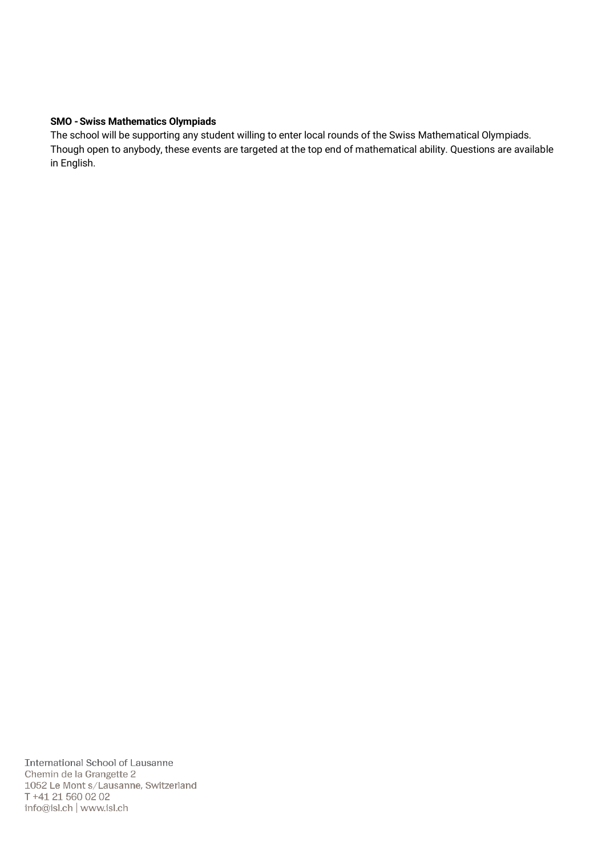#### SMO -Swiss Mathematics Olympiads

The school will be supporting any student willing to enter local rounds of the Swiss Mathematical Olympiads. Though open to anybody, these events are targeted at the top end of mathematical ability. Questions are available in English.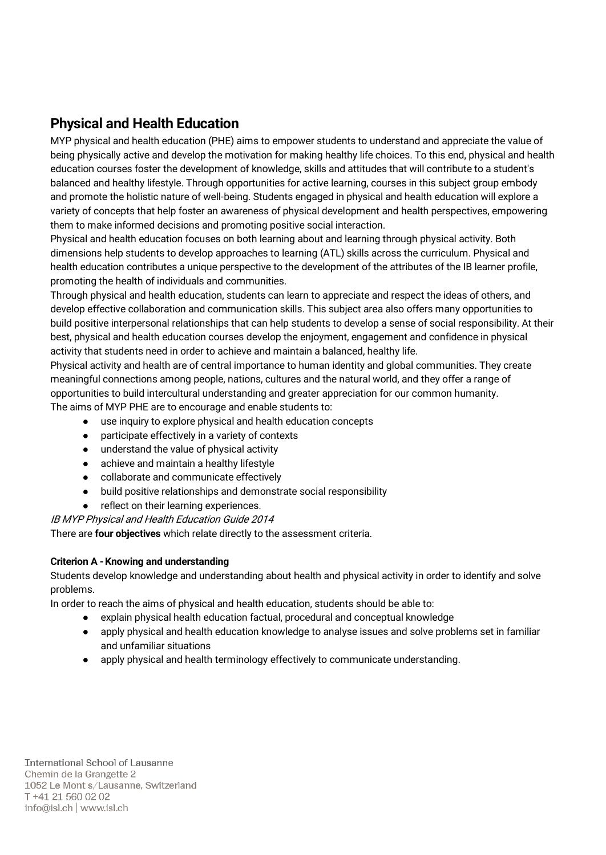# Physical and Health Education

MYP physical and health education (PHE) aims to empower students to understand and appreciate the value of being physically active and develop the motivation for making healthy life choices. To this end, physical and health education courses foster the development of knowledge, skills and attitudes that will contribute to a student's balanced and healthy lifestyle. Through opportunities for active learning, courses in this subject group embody and promote the holistic nature of well-being. Students engaged in physical and health education will explore a variety of concepts that help foster an awareness of physical development and health perspectives, empowering them to make informed decisions and promoting positive social interaction.

Physical and health education focuses on both learning about and learning through physical activity. Both dimensions help students to develop approaches to learning (ATL) skills across the curriculum. Physical and health education contributes a unique perspective to the development of the attributes of the IB learner profile, promoting the health of individuals and communities.

Through physical and health education, students can learn to appreciate and respect the ideas of others, and develop effective collaboration and communication skills. This subject area also offers many opportunities to build positive interpersonal relationships that can help students to develop a sense of social responsibility. At their best, physical and health education courses develop the enjoyment, engagement and confidence in physical activity that students need in order to achieve and maintain a balanced, healthy life.

Physical activity and health are of central importance to human identity and global communities. They create meaningful connections among people, nations, cultures and the natural world, and they offer a range of opportunities to build intercultural understanding and greater appreciation for our common humanity. The aims of MYP PHE are to encourage and enable students to:

use inquiry to explore physical and health education concepts

- participate effectively in a variety of contexts
- understand the value of physical activity
- achieve and maintain a healthy lifestyle
- collaborate and communicate effectively
- build positive relationships and demonstrate social responsibility
- reflect on their learning experiences.

IB MYP Physical and Health Education Guide 2014

There are four objectives which relate directly to the assessment criteria.

#### Criterion A -Knowing and understanding

Students develop knowledge and understanding about health and physical activity in order to identify and solve problems.

In order to reach the aims of physical and health education, students should be able to:

- explain physical health education factual, procedural and conceptual knowledge
- apply physical and health education knowledge to analyse issues and solve problems set in familiar and unfamiliar situations
- apply physical and health terminology effectively to communicate understanding.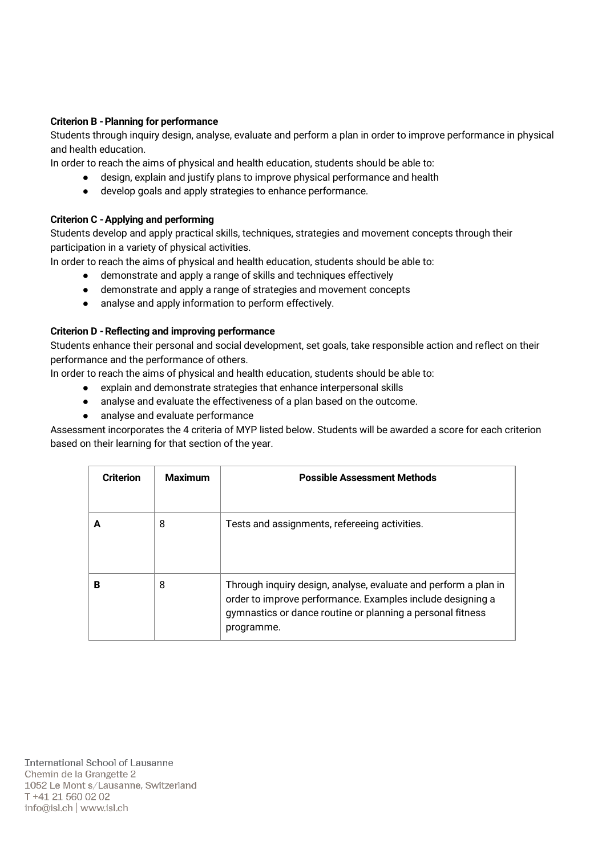#### Criterion B - Planning for performance

Students through inquiry design, analyse, evaluate and perform a plan in order to improve performance in physical and health education.

In order to reach the aims of physical and health education, students should be able to:

- design, explain and justify plans to improve physical performance and health
- develop goals and apply strategies to enhance performance.

#### Criterion C -Applying and performing

Students develop and apply practical skills, techniques, strategies and movement concepts through their participation in a variety of physical activities.

In order to reach the aims of physical and health education, students should be able to:

- demonstrate and apply a range of skills and techniques effectively
- demonstrate and apply a range of strategies and movement concepts
- analyse and apply information to perform effectively.

#### Criterion D -Reflecting and improving performance

Students enhance their personal and social development, set goals, take responsible action and reflect on their performance and the performance of others.

In order to reach the aims of physical and health education, students should be able to:

- explain and demonstrate strategies that enhance interpersonal skills
- analyse and evaluate the effectiveness of a plan based on the outcome.
- analyse and evaluate performance

Assessment incorporates the 4 criteria of MYP listed below. Students will be awarded a score for each criterion based on their learning for that section of the year.

| <b>Criterion</b> | <b>Maximum</b> | <b>Possible Assessment Methods</b>                                                                                                                                                                        |
|------------------|----------------|-----------------------------------------------------------------------------------------------------------------------------------------------------------------------------------------------------------|
|                  | 8              | Tests and assignments, refereeing activities.                                                                                                                                                             |
| В                | 8              | Through inquiry design, analyse, evaluate and perform a plan in<br>order to improve performance. Examples include designing a<br>gymnastics or dance routine or planning a personal fitness<br>programme. |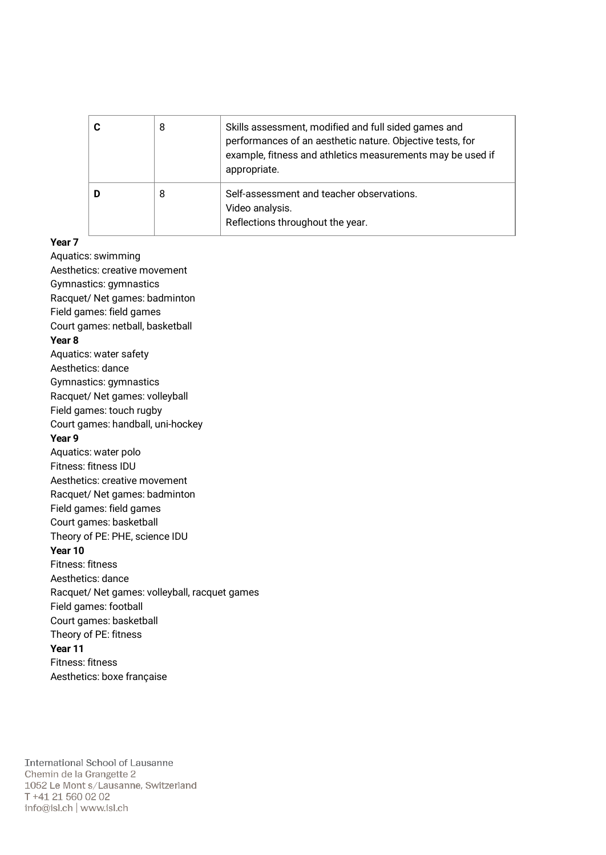| 8 | Skills assessment, modified and full sided games and<br>performances of an aesthetic nature. Objective tests, for<br>example, fitness and athletics measurements may be used if<br>appropriate. |
|---|-------------------------------------------------------------------------------------------------------------------------------------------------------------------------------------------------|
| 8 | Self-assessment and teacher observations.<br>Video analysis.<br>Reflections throughout the year.                                                                                                |

#### Year 7

Aquatics: swimming Aesthetics: creative movement Gymnastics: gymnastics Racquet/ Net games: badminton Field games: field games Court games: netball, basketball Year 8 Aquatics: water safety Aesthetics: dance Gymnastics: gymnastics Racquet/ Net games: volleyball Field games: touch rugby Court games: handball, uni-hockey Year 9 Aquatics: water polo Fitness: fitness IDU Aesthetics: creative movement Racquet/ Net games: badminton Field games: field games Court games: basketball Theory of PE: PHE, science IDU Year 10 Fitness: fitness Aesthetics: dance Racquet/ Net games: volleyball, racquet games Field games: football Court games: basketball Theory of PE: fitness Year 11 Fitness: fitness Aesthetics: boxe française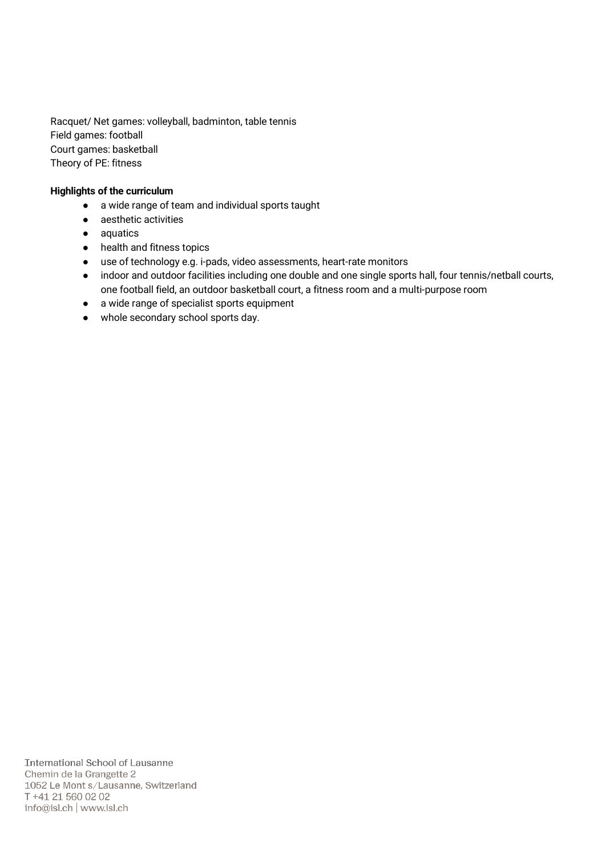Racquet/ Net games: volleyball, badminton, table tennis Field games: football Court games: basketball Theory of PE: fitness

#### Highlights of the curriculum

- a wide range of team and individual sports taught
- aesthetic activities
- aquatics
- health and fitness topics
- use of technology e.g. i-pads, video assessments, heart-rate monitors
- indoor and outdoor facilities including one double and one single sports hall, four tennis/netball courts, one football field, an outdoor basketball court, a fitness room and a multi-purpose room
- a wide range of specialist sports equipment
- whole secondary school sports day.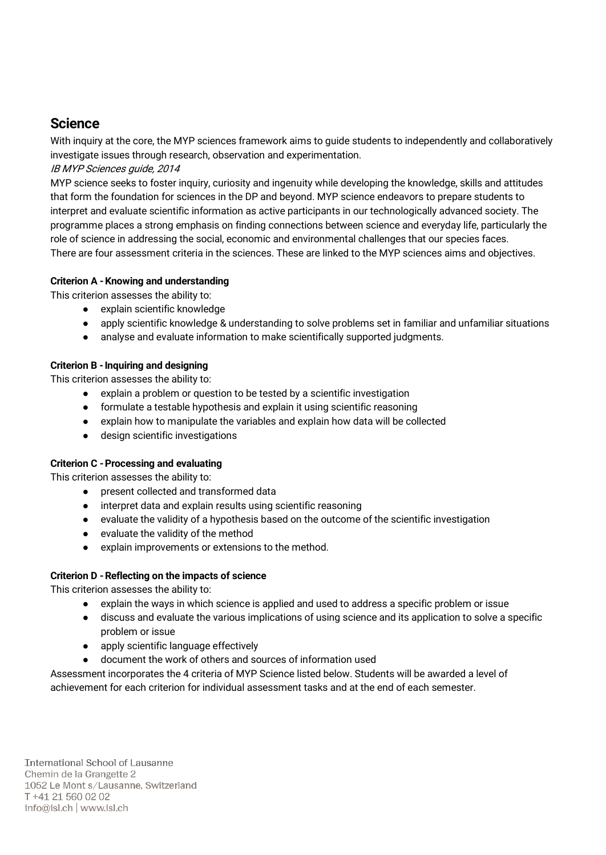### **Science**

With inquiry at the core, the MYP sciences framework aims to guide students to independently and collaboratively investigate issues through research, observation and experimentation.

#### IB MYP Sciences guide, 2014

MYP science seeks to foster inquiry, curiosity and ingenuity while developing the knowledge, skills and attitudes that form the foundation for sciences in the DP and beyond. MYP science endeavors to prepare students to interpret and evaluate scientific information as active participants in our technologically advanced society. The programme places a strong emphasis on finding connections between science and everyday life, particularly the role of science in addressing the social, economic and environmental challenges that our species faces. There are four assessment criteria in the sciences. These are linked to the MYP sciences aims and objectives.

#### Criterion A -Knowing and understanding

This criterion assesses the ability to:

- explain scientific knowledge
- apply scientific knowledge & understanding to solve problems set in familiar and unfamiliar situations
- analyse and evaluate information to make scientifically supported judgments.

#### Criterion B - Inquiring and designing

This criterion assesses the ability to:

- explain a problem or question to be tested by a scientific investigation
- formulate a testable hypothesis and explain it using scientific reasoning
- explain how to manipulate the variables and explain how data will be collected
- design scientific investigations

#### Criterion C -Processing and evaluating

This criterion assesses the ability to:

- present collected and transformed data
- interpret data and explain results using scientific reasoning
- evaluate the validity of a hypothesis based on the outcome of the scientific investigation
- evaluate the validity of the method
- explain improvements or extensions to the method.

#### Criterion D -Reflecting on the impacts of science

This criterion assesses the ability to:

- explain the ways in which science is applied and used to address a specific problem or issue
- discuss and evaluate the various implications of using science and its application to solve a specific problem or issue
- apply scientific language effectively
- document the work of others and sources of information used

Assessment incorporates the 4 criteria of MYP Science listed below. Students will be awarded a level of achievement for each criterion for individual assessment tasks and at the end of each semester.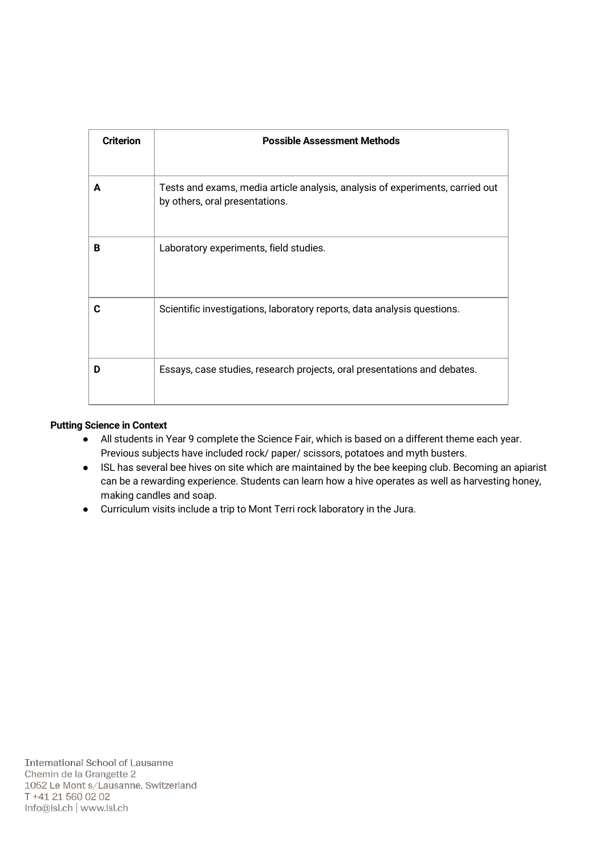| <b>Criterion</b> | <b>Possible Assessment Methods</b>                                                                              |
|------------------|-----------------------------------------------------------------------------------------------------------------|
| A                | Tests and exams, media article analysis, analysis of experiments, carried out<br>by others, oral presentations. |
| B                | Laboratory experiments, field studies.                                                                          |
| C                | Scientific investigations, laboratory reports, data analysis questions.                                         |
| D                | Essays, case studies, research projects, oral presentations and debates.                                        |

#### Putting Science in Context

- All students in Year 9 complete the Science Fair, which is based on a different theme each year. Previous subjects have included rock/ paper/ scissors, potatoes and myth busters.
- ISL has several bee hives on site which are maintained by the bee keeping club. Becoming an apiarist can be a rewarding experience. Students can learn how a hive operates as well as harvesting honey, making candles and soap.
- Curriculum visits include a trip to Mont Terri rock laboratory in the Jura.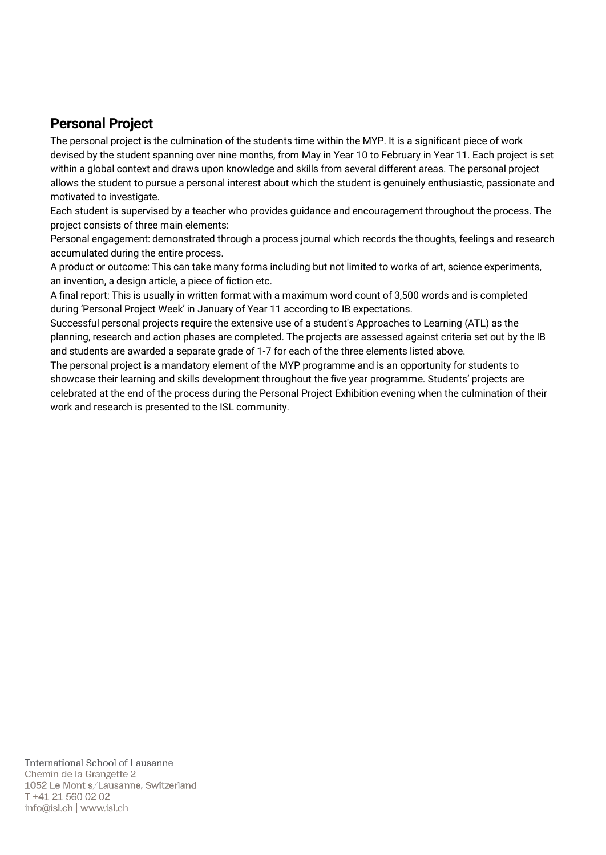### Personal Project

The personal project is the culmination of the students time within the MYP. It is a significant piece of work devised by the student spanning over nine months, from May in Year 10 to February in Year 11. Each project is set within a global context and draws upon knowledge and skills from several different areas. The personal project allows the student to pursue a personal interest about which the student is genuinely enthusiastic, passionate and motivated to investigate.

Each student is supervised by a teacher who provides guidance and encouragement throughout the process. The project consists of three main elements:

Personal engagement: demonstrated through a process journal which records the thoughts, feelings and research accumulated during the entire process.

A product or outcome: This can take many forms including but not limited to works of art, science experiments, an invention, a design article, a piece of fiction etc.

A final report: This is usually in written format with a maximum word count of 3,500 words and is completed during 'Personal Project Week' in January of Year 11 according to IB expectations.

Successful personal projects require the extensive use of a student's Approaches to Learning (ATL) as the planning, research and action phases are completed. The projects are assessed against criteria set out by the IB and students are awarded a separate grade of 1-7 for each of the three elements listed above.

The personal project is a mandatory element of the MYP programme and is an opportunity for students to showcase their learning and skills development throughout the five year programme. Students' projects are celebrated at the end of the process during the Personal Project Exhibition evening when the culmination of their work and research is presented to the ISL community.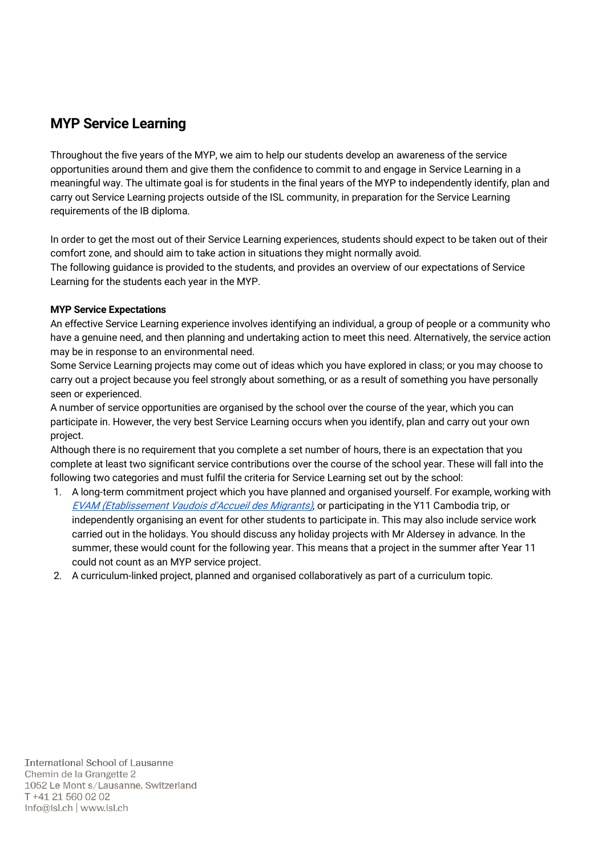# MYP Service Learning

Throughout the five years of the MYP, we aim to help our students develop an awareness of the service opportunities around them and give them the confidence to commit to and engage in Service Learning in a meaningful way. The ultimate goal is for students in the final years of the MYP to independently identify, plan and carry out Service Learning projects outside of the ISL community, in preparation for the Service Learning requirements of the IB diploma.

In order to get the most out of their Service Learning experiences, students should expect to be taken out of their comfort zone, and should aim to take action in situations they might normally avoid.

The following guidance is provided to the students, and provides an overview of our expectations of Service Learning for the students each year in the MYP.

#### MYP Service Expectations

An effective Service Learning experience involves identifying an individual, a group of people or a community who have a genuine need, and then planning and undertaking action to meet this need. Alternatively, the service action may be in response to an environmental need.

Some Service Learning projects may come out of ideas which you have explored in class; or you may choose to carry out a project because you feel strongly about something, or as a result of something you have personally seen or experienced.

A number of service opportunities are organised by the school over the course of the year, which you can participate in. However, the very best Service Learning occurs when you identify, plan and carry out your own project.

Although there is no requirement that you complete a set number of hours, there is an expectation that you complete at least two significant service contributions over the course of the school year. These will fall into the following two categories and must fulfil the criteria for Service Learning set out by the school:

- 1. A long-term commitment project which you have planned and organised yourself. For example, working wit[h](https://www.evam.ch/) [EVAM \(Etablissement Vaudois d'Accueil des Migrants\)](https://www.evam.ch/), or participating in the Y11 Cambodia trip, or independently organising an event for other students to participate in. This may also include service work carried out in the holidays. You should discuss any holiday projects with Mr Aldersey in advance. In the summer, these would count for the following year. This means that a project in the summer after Year 11 could not count as an MYP service project.
- 2. A curriculum-linked project, planned and organised collaboratively as part of a curriculum topic.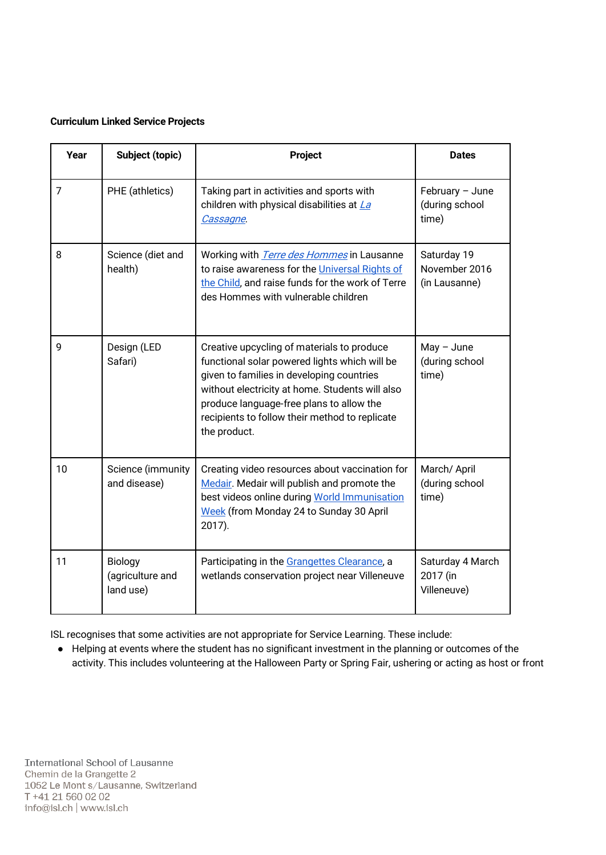#### Curriculum Linked Service Projects

| Year | Subject (topic)                          | Project                                                                                                                                                                                                                                                                                                   | <b>Dates</b>                                  |
|------|------------------------------------------|-----------------------------------------------------------------------------------------------------------------------------------------------------------------------------------------------------------------------------------------------------------------------------------------------------------|-----------------------------------------------|
| 7    | PHE (athletics)                          | Taking part in activities and sports with<br>children with physical disabilities at La<br>Cassagne.                                                                                                                                                                                                       | February - June<br>(during school<br>time)    |
| 8    | Science (diet and<br>health)             | Working with <i>Terre des Hommes</i> in Lausanne<br>to raise awareness for the Universal Rights of<br>the Child, and raise funds for the work of Terre<br>des Hommes with vulnerable children                                                                                                             | Saturday 19<br>November 2016<br>(in Lausanne) |
| 9    | Design (LED<br>Safari)                   | Creative upcycling of materials to produce<br>functional solar powered lights which will be<br>given to families in developing countries<br>without electricity at home. Students will also<br>produce language-free plans to allow the<br>recipients to follow their method to replicate<br>the product. | $May - June$<br>(during school<br>time)       |
| 10   | Science (immunity<br>and disease)        | Creating video resources about vaccination for<br>Medair. Medair will publish and promote the<br>best videos online during World Immunisation<br>Week (from Monday 24 to Sunday 30 April<br>2017).                                                                                                        | March/ April<br>(during school<br>time)       |
| 11   | Biology<br>(agriculture and<br>land use) | Participating in the Grangettes Clearance, a<br>wetlands conservation project near Villeneuve                                                                                                                                                                                                             | Saturday 4 March<br>2017 (in<br>Villeneuve)   |

ISL recognises that some activities are not appropriate for Service Learning. These include:

● Helping at events where the student has no significant investment in the planning or outcomes of the activity. This includes volunteering at the Halloween Party or Spring Fair, ushering or acting as host or front